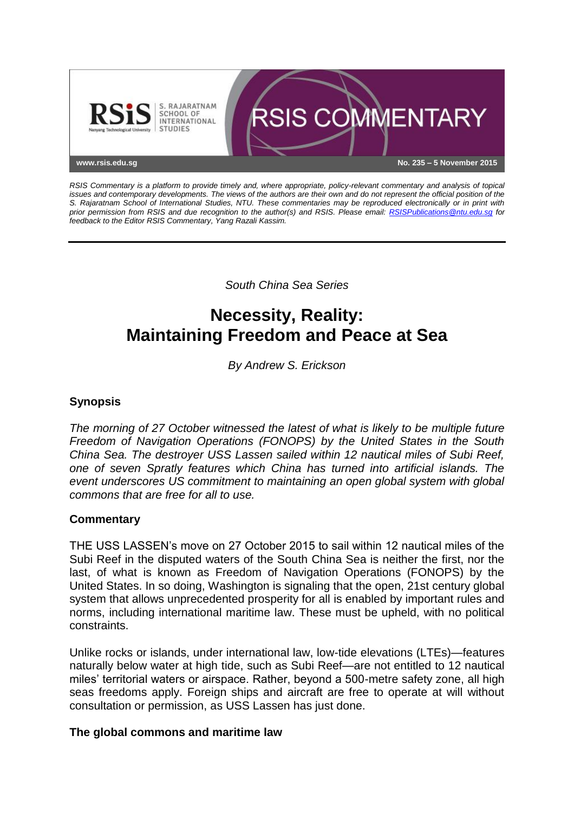

*RSIS Commentary is a platform to provide timely and, where appropriate, policy-relevant commentary and analysis of topical issues and contemporary developments. The views of the authors are their own and do not represent the official position of the S. Rajaratnam School of International Studies, NTU. These commentaries may be reproduced electronically or in print with prior permission from RSIS and due recognition to the author(s) and RSIS. Please email: [RSISPublications@ntu.edu.sg](mailto:RSISPublications@ntu.edu.sg) for feedback to the Editor RSIS Commentary, Yang Razali Kassim.*

*South China Sea Series*

# **Necessity, Reality: Maintaining Freedom and Peace at Sea**

*By Andrew S. Erickson*

# **Synopsis**

*The morning of 27 October witnessed the latest of what is likely to be multiple future Freedom of Navigation Operations (FONOPS) by the United States in the South China Sea. The destroyer USS Lassen sailed within 12 nautical miles of Subi Reef, one of seven Spratly features which China has turned into artificial islands. The event underscores US commitment to maintaining an open global system with global commons that are free for all to use.*

## **Commentary**

THE USS LASSEN's move on 27 October 2015 to sail within 12 nautical miles of the Subi Reef in the disputed waters of the South China Sea is neither the first, nor the last, of what is known as Freedom of Navigation Operations (FONOPS) by the United States. In so doing, Washington is signaling that the open, 21st century global system that allows unprecedented prosperity for all is enabled by important rules and norms, including international maritime law. These must be upheld, with no political constraints.

Unlike rocks or islands, under international law, low-tide elevations (LTEs)—features naturally below water at high tide, such as Subi Reef—are not entitled to 12 nautical miles' territorial waters or airspace. Rather, beyond a 500-metre safety zone, all high seas freedoms apply. Foreign ships and aircraft are free to operate at will without consultation or permission, as USS Lassen has just done.

## **The global commons and maritime law**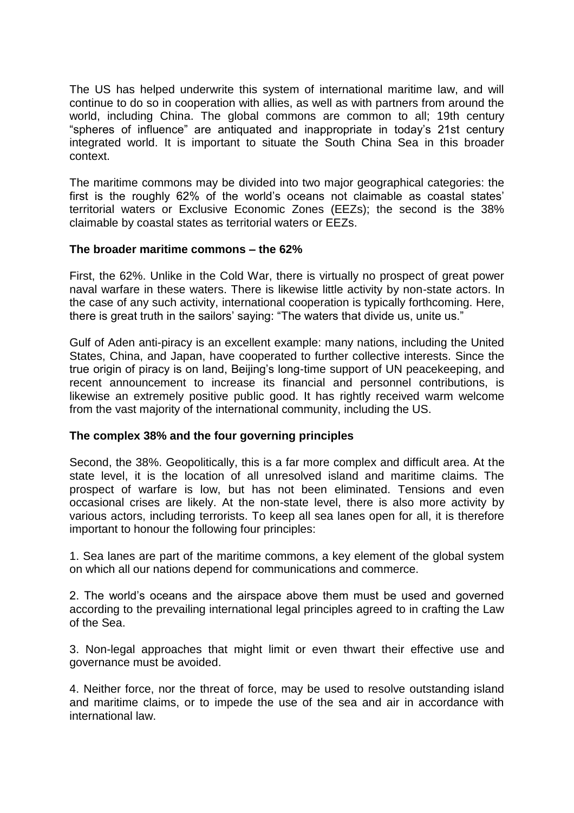The US has helped underwrite this system of international maritime law, and will continue to do so in cooperation with allies, as well as with partners from around the world, including China. The global commons are common to all; 19th century "spheres of influence" are antiquated and inappropriate in today's 21st century integrated world. It is important to situate the South China Sea in this broader context.

The maritime commons may be divided into two major geographical categories: the first is the roughly 62% of the world's oceans not claimable as coastal states' territorial waters or Exclusive Economic Zones (EEZs); the second is the 38% claimable by coastal states as territorial waters or EEZs.

## **The broader maritime commons – the 62%**

First, the 62%. Unlike in the Cold War, there is virtually no prospect of great power naval warfare in these waters. There is likewise little activity by non-state actors. In the case of any such activity, international cooperation is typically forthcoming. Here, there is great truth in the sailors' saying: "The waters that divide us, unite us."

Gulf of Aden anti-piracy is an excellent example: many nations, including the United States, China, and Japan, have cooperated to further collective interests. Since the true origin of piracy is on land, Beijing's long-time support of UN peacekeeping, and recent announcement to increase its financial and personnel contributions, is likewise an extremely positive public good. It has rightly received warm welcome from the vast majority of the international community, including the US.

## **The complex 38% and the four governing principles**

Second, the 38%. Geopolitically, this is a far more complex and difficult area. At the state level, it is the location of all unresolved island and maritime claims. The prospect of warfare is low, but has not been eliminated. Tensions and even occasional crises are likely. At the non-state level, there is also more activity by various actors, including terrorists. To keep all sea lanes open for all, it is therefore important to honour the following four principles:

1. Sea lanes are part of the maritime commons, a key element of the global system on which all our nations depend for communications and commerce.

2. The world's oceans and the airspace above them must be used and governed according to the prevailing international legal principles agreed to in crafting the Law of the Sea.

3. Non-legal approaches that might limit or even thwart their effective use and governance must be avoided.

4. Neither force, nor the threat of force, may be used to resolve outstanding island and maritime claims, or to impede the use of the sea and air in accordance with international law.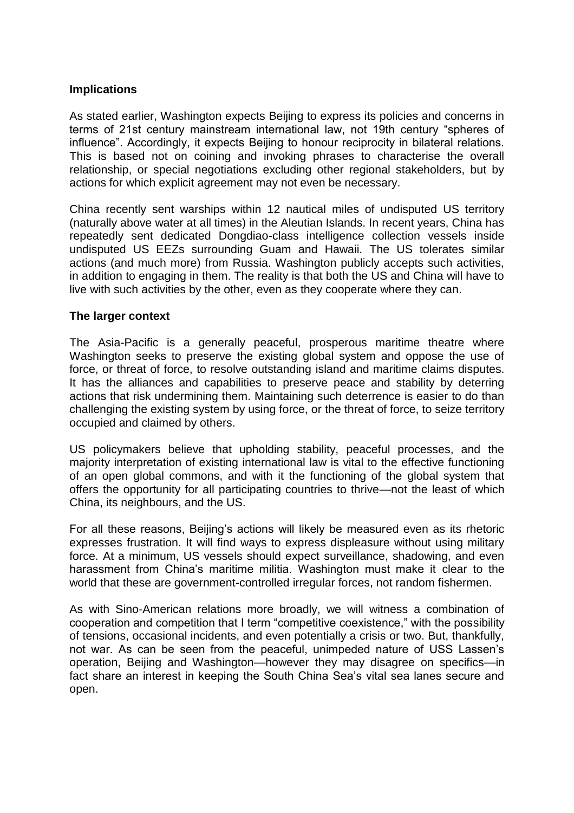#### **Implications**

As stated earlier, Washington expects Beijing to express its policies and concerns in terms of 21st century mainstream international law, not 19th century "spheres of influence". Accordingly, it expects Beijing to honour reciprocity in bilateral relations. This is based not on coining and invoking phrases to characterise the overall relationship, or special negotiations excluding other regional stakeholders, but by actions for which explicit agreement may not even be necessary.

China recently sent warships within 12 nautical miles of undisputed US territory (naturally above water at all times) in the Aleutian Islands. In recent years, China has repeatedly sent dedicated Dongdiao-class intelligence collection vessels inside undisputed US EEZs surrounding Guam and Hawaii. The US tolerates similar actions (and much more) from Russia. Washington publicly accepts such activities, in addition to engaging in them. The reality is that both the US and China will have to live with such activities by the other, even as they cooperate where they can.

#### **The larger context**

The Asia-Pacific is a generally peaceful, prosperous maritime theatre where Washington seeks to preserve the existing global system and oppose the use of force, or threat of force, to resolve outstanding island and maritime claims disputes. It has the alliances and capabilities to preserve peace and stability by deterring actions that risk undermining them. Maintaining such deterrence is easier to do than challenging the existing system by using force, or the threat of force, to seize territory occupied and claimed by others.

US policymakers believe that upholding stability, peaceful processes, and the majority interpretation of existing international law is vital to the effective functioning of an open global commons, and with it the functioning of the global system that offers the opportunity for all participating countries to thrive—not the least of which China, its neighbours, and the US.

For all these reasons, Beijing's actions will likely be measured even as its rhetoric expresses frustration. It will find ways to express displeasure without using military force. At a minimum, US vessels should expect surveillance, shadowing, and even harassment from China's maritime militia. Washington must make it clear to the world that these are government-controlled irregular forces, not random fishermen.

As with Sino-American relations more broadly, we will witness a combination of cooperation and competition that I term "competitive coexistence," with the possibility of tensions, occasional incidents, and even potentially a crisis or two. But, thankfully, not war. As can be seen from the peaceful, unimpeded nature of USS Lassen's operation, Beijing and Washington—however they may disagree on specifics—in fact share an interest in keeping the South China Sea's vital sea lanes secure and open.